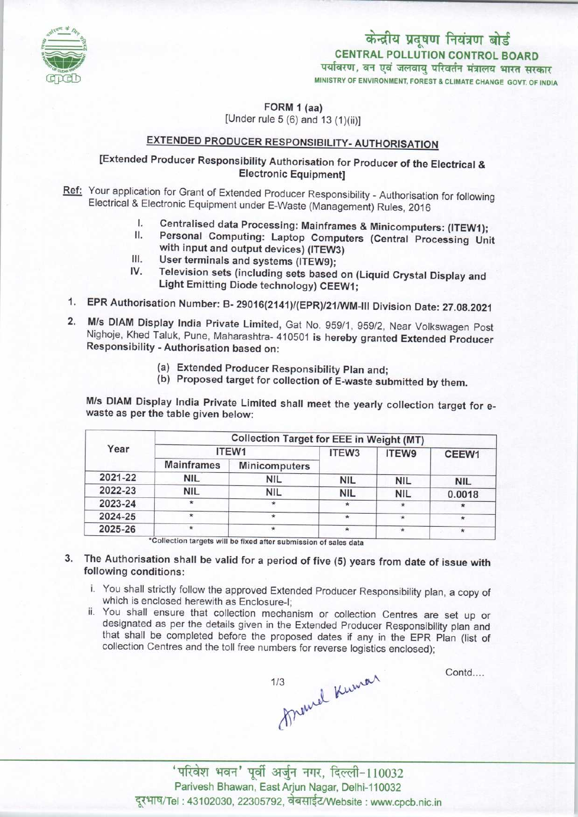

CENTRAL POLLUTION CONTROL BOARD<br>पर्यावरण, वन एवं जलवाय परिवर्तन मंत्रालय भारत सरकार केन्द्रीय प्रदूषण नियंत्रण बोर्ड

MINISTRY OF ENVIRONMENT, FOREST & CLIMATE CHANGE GOVT. OF INDIA

FORM 1 (aa) [Under rule 5 (6) and 13 (1)(ii)]

## EXTENDED PRODUCER RESPONSIBILITY-AUTHORISATION

## [Extended Producer Responsibility Authorisation for Producer of the Electrical & Electronic Equipment]

Ref: Your application for Grant of Extended Producer Responsibility - Authorisation for following Electrical & Electronic Equipment under E-Waste (Management) Rules, 2016

- I. Centralised data Processing: Mainframes & Minicomputers: (ITEW1);<br>II. Personal Computing: Lanton Computers (Central Processium II)
- II. Personal Computing: Laptop Computers (Central Processing Unit<br>with input and output devices) (ITEW3)<br>III. User terminals and systems (ITEW9);<br>V. Television sets (including estate lines of the set of the set of the set with input and output devices) (ITEW3)<br>User terminals and systems (ITEW9);
- 
- III. User terminals and systems (ITEW9);<br>IV. Television sets (including sets based on (Liquid Crystal Display and Light Emitting Diode technology) CEEW1;
- 1.EPR Authorisation Number: B- 29016(2141)/(EPR)/21/WM-lll Division Date: 27.08.2021
- 2.M/s DIAM Display India Private Limited, Gat No. 959/1, 959/2, Near Volkswagen Post Nighoje, Khed Taluk, Pune, Maharashtra- 410501 is hereby granted Extended Producer Responsibility -Authorisation based on:
	- (a)Extended Producer Responsibility Plan and;
	- (b) Proposed target for collection of E-waste submitted by them.

M/s DIAM Display India Private Limited shall meet the yearly collection target for ewaste as per the table given below:

| Year    | <b>Collection Target for EEE in Weight (MT)</b> |                      |            |            |            |
|---------|-------------------------------------------------|----------------------|------------|------------|------------|
|         | ITEW1                                           |                      | ITEW3      | ITEW9      | CEEW1      |
|         | <b>Mainframes</b>                               | <b>Minicomputers</b> |            |            |            |
| 2021-22 | <b>NIL</b>                                      | <b>NIL</b>           | <b>NIL</b> | <b>NIL</b> | <b>NIL</b> |
| 2022-23 | <b>NIL</b>                                      | <b>NIL</b>           | <b>NIL</b> | <b>NIL</b> | 0.0018     |
| 2023-24 | ÷                                               | $\star$              | $\star$    | $\star$    | $\star$    |
| 2024-25 | $\star$                                         | $\star$              | $\star$    | $\star$    | $\star$    |
| 2025-26 | ÷                                               | $\star$              | $\star$    | $\star$    | $\star$    |

- 3. The Authorisation shall be valid for a period of five (5) years from date of issue with following conditions:
	- i. You shall strictly follow the approved Extended Producer Responsibility plan, a copy of which is enclosed herewith as Enclosure-I;
	- ii. You shall ensure that collection mechanism or collection Centres are set up or designated as per the details given in the Extended Producer Responsibility plan and that shall be completed before the proposed dates if any in the EPR Plan (list of collection Centres and the toll free numbers for reverse logistics enclosed);



Contd....

'परिवेश भवन' पूर्वी अर्जुन नगर, दिल्ली-110032 Parivesh Bhawan, East Arjun Nagar, Delhi-110032 दूरभाष/Tel : 43102030, 22305792, वेबसाईट/Website : www.cpcb.nic.in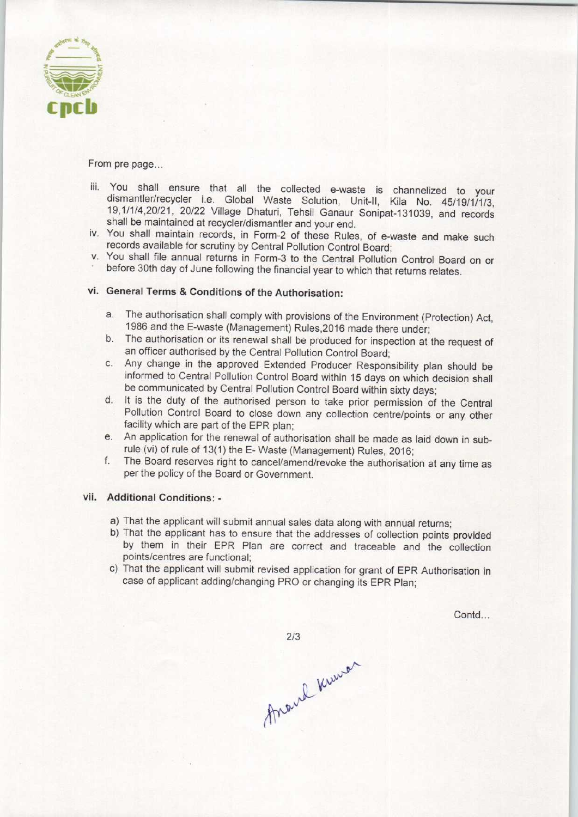

From pre page...

- iii. You shall ensure that all the collected e-waste is channelized to your dismantler/recycler i.e. Global Waste Solution, Unit-ll, Kila No. 45/19/1/1/3, 19,1/1/4,20/21, 20/22 Village Dhaturi, Tehsil Ganaur Sonipat-131039, and records shall be maintained at recycler/dismantler and your end.
- iv. You shall maintain records, in Form-2 of these Rules, of e-waste and make such records available for scrutiny by Central Pollution Control Board;
- v. You shall file annual returns in Form-3 to the Central Pollution Control Board on or before 30th day of June following the financial year to which that returns relates.

## vi. General Terms & Conditions of the Authorisation:

- a.The authorisation shall comply with provisions of the Environment (Protection) Act, 1986 and the E-waste (Management) Rules,2016 made there under;
- b.The authorisation or its renewal shall be produced for inspection at the request of an officer authorised by the Central Pollution Control Board;
- c.Any change in the approved Extended Producer Responsibility plan should be informed to Central Pollution Control Board within 15 days on which decision shall be communicated by Central Pollution Control Board within sixty days;
- d. It is the duty of the authorised person to take prior permission of the Central Pollution Control Board to close down any collection centre/points or any other facility which are part of the EPR plan;
- e.An application for the renewal of authorisation shall be made as laid down in subrule (vi) of rule of 13(1) the E- Waste (Management) Rules, 2016;
- f.The Board reserves right to cancel/amend/revoke the authorisation at any time as perthe policy of the Board or Government.

## vii. Additional Conditions: -

- a)That the applicant will submit annual sales data along with annual returns;
- b)That the applicant has to ensure that the addresses of collection points provided by them in their EPR Plan are correct and traceable and the collection points/centres are functional;
- c) That the applicant will submit revised application for grant of EPR Authorisation in case of applicant adding/changing PRO or changing its EPR Plan;

Contd...

 $2/3$ 

Around Kumon